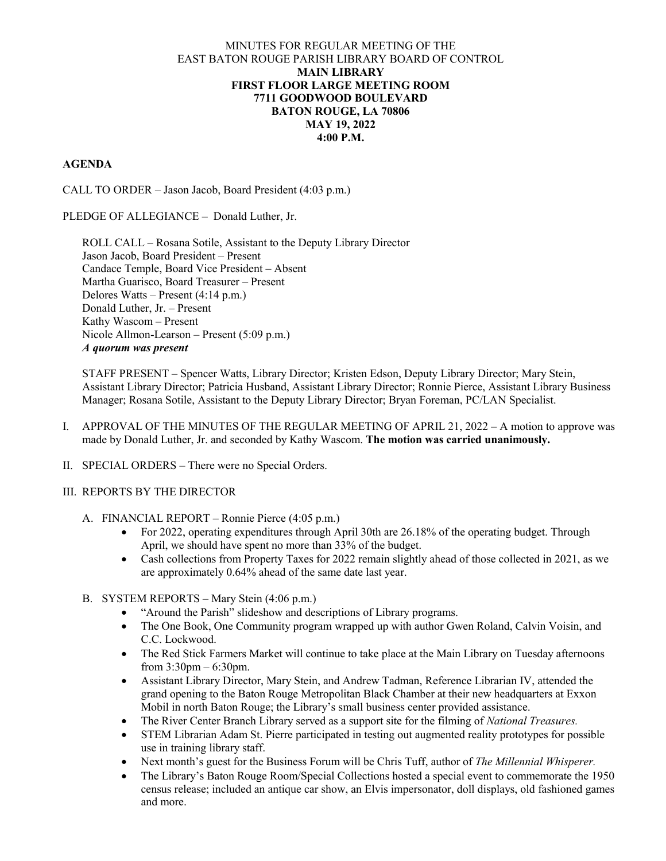### MINUTES FOR REGULAR MEETING OF THE EAST BATON ROUGE PARISH LIBRARY BOARD OF CONTROL **MAIN LIBRARY FIRST FLOOR LARGE MEETING ROOM 7711 GOODWOOD BOULEVARD BATON ROUGE, LA 70806 MAY 19, 2022 4:00 P.M.**

### **AGENDA**

CALL TO ORDER – Jason Jacob, Board President (4:03 p.m.)

### PLEDGE OF ALLEGIANCE – Donald Luther, Jr.

ROLL CALL – Rosana Sotile, Assistant to the Deputy Library Director Jason Jacob, Board President – Present Candace Temple, Board Vice President – Absent Martha Guarisco, Board Treasurer – Present Delores Watts – Present (4:14 p.m.) Donald Luther, Jr. – Present Kathy Wascom – Present Nicole Allmon-Learson – Present (5:09 p.m.) *A quorum was present*

STAFF PRESENT – Spencer Watts, Library Director; Kristen Edson, Deputy Library Director; Mary Stein, Assistant Library Director; Patricia Husband, Assistant Library Director; Ronnie Pierce, Assistant Library Business Manager; Rosana Sotile, Assistant to the Deputy Library Director; Bryan Foreman, PC/LAN Specialist.

- I. APPROVAL OF THE MINUTES OF THE REGULAR MEETING OF APRIL 21, 2022 A motion to approve was made by Donald Luther, Jr. and seconded by Kathy Wascom. **The motion was carried unanimously.**
- II. SPECIAL ORDERS There were no Special Orders.

### III. REPORTS BY THE DIRECTOR

- A. FINANCIAL REPORT Ronnie Pierce (4:05 p.m.)
	- For 2022, operating expenditures through April 30th are 26.18% of the operating budget. Through April, we should have spent no more than 33% of the budget.
	- Cash collections from Property Taxes for 2022 remain slightly ahead of those collected in 2021, as we are approximately 0.64% ahead of the same date last year.
- B. SYSTEM REPORTS Mary Stein (4:06 p.m.)
	- "Around the Parish" slideshow and descriptions of Library programs.
	- The One Book, One Community program wrapped up with author Gwen Roland, Calvin Voisin, and C.C. Lockwood.
	- The Red Stick Farmers Market will continue to take place at the Main Library on Tuesday afternoons from 3:30pm – 6:30pm.
	- Assistant Library Director, Mary Stein, and Andrew Tadman, Reference Librarian IV, attended the grand opening to the Baton Rouge Metropolitan Black Chamber at their new headquarters at Exxon Mobil in north Baton Rouge; the Library's small business center provided assistance.
	- The River Center Branch Library served as a support site for the filming of *National Treasures.*
	- STEM Librarian Adam St. Pierre participated in testing out augmented reality prototypes for possible use in training library staff.
	- Next month's guest for the Business Forum will be Chris Tuff, author of *The Millennial Whisperer.*
	- The Library's Baton Rouge Room/Special Collections hosted a special event to commemorate the 1950 census release; included an antique car show, an Elvis impersonator, doll displays, old fashioned games and more.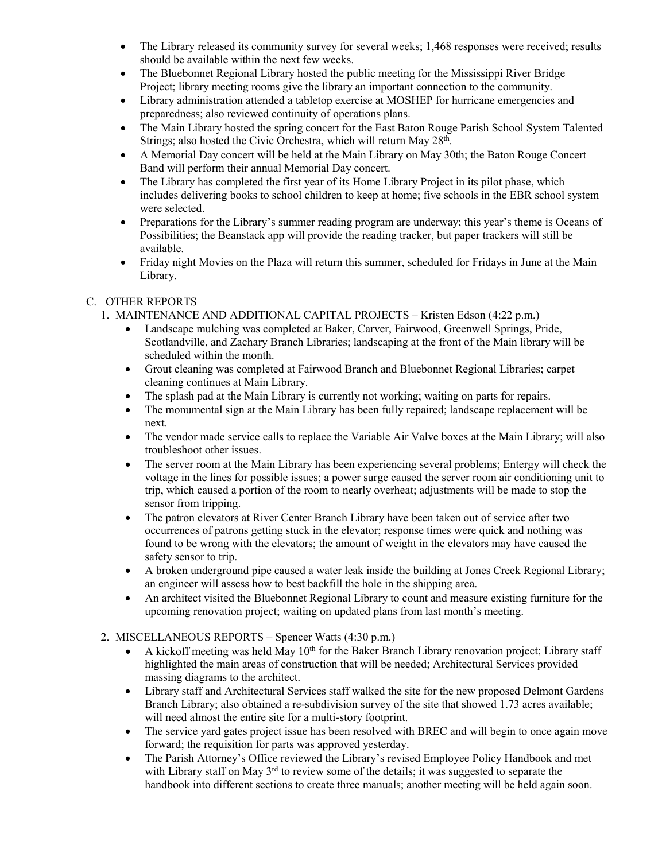- The Library released its community survey for several weeks; 1,468 responses were received; results should be available within the next few weeks.
- The Bluebonnet Regional Library hosted the public meeting for the Mississippi River Bridge Project; library meeting rooms give the library an important connection to the community.
- Library administration attended a tabletop exercise at MOSHEP for hurricane emergencies and preparedness; also reviewed continuity of operations plans.
- The Main Library hosted the spring concert for the East Baton Rouge Parish School System Talented Strings; also hosted the Civic Orchestra, which will return May 28<sup>th</sup>.
- A Memorial Day concert will be held at the Main Library on May 30th; the Baton Rouge Concert Band will perform their annual Memorial Day concert.
- The Library has completed the first year of its Home Library Project in its pilot phase, which includes delivering books to school children to keep at home; five schools in the EBR school system were selected.
- Preparations for the Library's summer reading program are underway; this year's theme is Oceans of Possibilities; the Beanstack app will provide the reading tracker, but paper trackers will still be available.
- Friday night Movies on the Plaza will return this summer, scheduled for Fridays in June at the Main Library.

## C. OTHER REPORTS

- 1. MAINTENANCE AND ADDITIONAL CAPITAL PROJECTS Kristen Edson (4:22 p.m.)
	- Landscape mulching was completed at Baker, Carver, Fairwood, Greenwell Springs, Pride, Scotlandville, and Zachary Branch Libraries; landscaping at the front of the Main library will be scheduled within the month.
	- Grout cleaning was completed at Fairwood Branch and Bluebonnet Regional Libraries; carpet cleaning continues at Main Library.
	- The splash pad at the Main Library is currently not working; waiting on parts for repairs.
	- The monumental sign at the Main Library has been fully repaired; landscape replacement will be next.
	- The vendor made service calls to replace the Variable Air Valve boxes at the Main Library; will also troubleshoot other issues.
	- The server room at the Main Library has been experiencing several problems; Entergy will check the voltage in the lines for possible issues; a power surge caused the server room air conditioning unit to trip, which caused a portion of the room to nearly overheat; adjustments will be made to stop the sensor from tripping.
	- The patron elevators at River Center Branch Library have been taken out of service after two occurrences of patrons getting stuck in the elevator; response times were quick and nothing was found to be wrong with the elevators; the amount of weight in the elevators may have caused the safety sensor to trip.
	- A broken underground pipe caused a water leak inside the building at Jones Creek Regional Library; an engineer will assess how to best backfill the hole in the shipping area.
	- An architect visited the Bluebonnet Regional Library to count and measure existing furniture for the upcoming renovation project; waiting on updated plans from last month's meeting.

# 2. MISCELLANEOUS REPORTS – Spencer Watts (4:30 p.m.)

- A kickoff meeting was held May  $10<sup>th</sup>$  for the Baker Branch Library renovation project; Library staff highlighted the main areas of construction that will be needed; Architectural Services provided massing diagrams to the architect.
- Library staff and Architectural Services staff walked the site for the new proposed Delmont Gardens Branch Library; also obtained a re-subdivision survey of the site that showed 1.73 acres available; will need almost the entire site for a multi-story footprint.
- The service yard gates project issue has been resolved with BREC and will begin to once again move forward; the requisition for parts was approved yesterday.
- The Parish Attorney's Office reviewed the Library's revised Employee Policy Handbook and met with Library staff on May 3<sup>rd</sup> to review some of the details; it was suggested to separate the handbook into different sections to create three manuals; another meeting will be held again soon.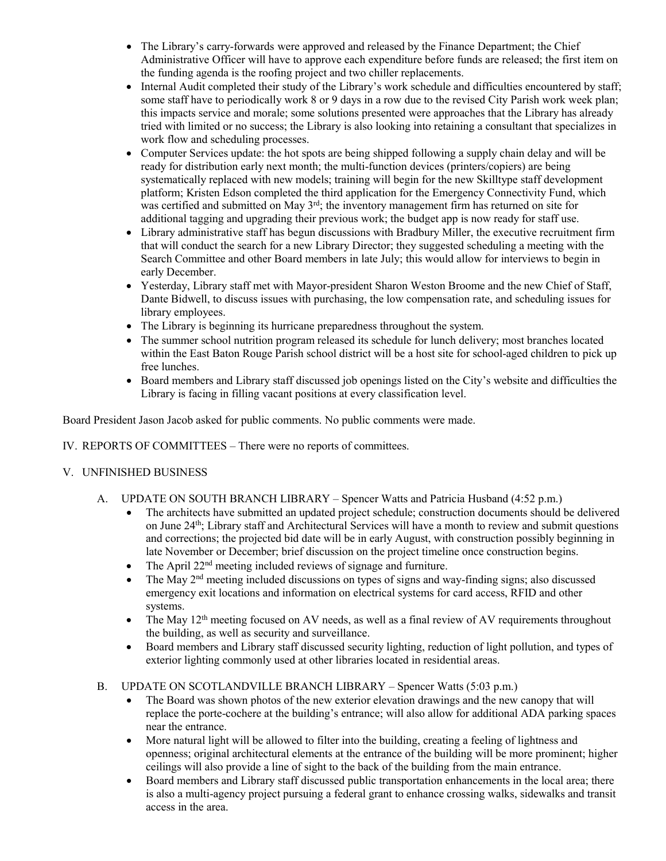- The Library's carry-forwards were approved and released by the Finance Department; the Chief Administrative Officer will have to approve each expenditure before funds are released; the first item on the funding agenda is the roofing project and two chiller replacements.
- Internal Audit completed their study of the Library's work schedule and difficulties encountered by staff; some staff have to periodically work 8 or 9 days in a row due to the revised City Parish work week plan; this impacts service and morale; some solutions presented were approaches that the Library has already tried with limited or no success; the Library is also looking into retaining a consultant that specializes in work flow and scheduling processes.
- Computer Services update: the hot spots are being shipped following a supply chain delay and will be ready for distribution early next month; the multi-function devices (printers/copiers) are being systematically replaced with new models; training will begin for the new Skilltype staff development platform; Kristen Edson completed the third application for the Emergency Connectivity Fund, which was certified and submitted on May  $3<sup>rd</sup>$ ; the inventory management firm has returned on site for additional tagging and upgrading their previous work; the budget app is now ready for staff use.
- Library administrative staff has begun discussions with Bradbury Miller, the executive recruitment firm that will conduct the search for a new Library Director; they suggested scheduling a meeting with the Search Committee and other Board members in late July; this would allow for interviews to begin in early December.
- Yesterday, Library staff met with Mayor-president Sharon Weston Broome and the new Chief of Staff, Dante Bidwell, to discuss issues with purchasing, the low compensation rate, and scheduling issues for library employees.
- The Library is beginning its hurricane preparedness throughout the system.
- The summer school nutrition program released its schedule for lunch delivery; most branches located within the East Baton Rouge Parish school district will be a host site for school-aged children to pick up free lunches.
- Board members and Library staff discussed job openings listed on the City's website and difficulties the Library is facing in filling vacant positions at every classification level.

Board President Jason Jacob asked for public comments. No public comments were made.

IV. REPORTS OF COMMITTEES – There were no reports of committees.

## V. UNFINISHED BUSINESS

- A. UPDATE ON SOUTH BRANCH LIBRARY Spencer Watts and Patricia Husband (4:52 p.m.)
	- The architects have submitted an updated project schedule; construction documents should be delivered on June  $24<sup>th</sup>$ ; Library staff and Architectural Services will have a month to review and submit questions and corrections; the projected bid date will be in early August, with construction possibly beginning in late November or December; brief discussion on the project timeline once construction begins.
	- The April 22<sup>nd</sup> meeting included reviews of signage and furniture.
	- The May 2nd meeting included discussions on types of signs and way-finding signs; also discussed emergency exit locations and information on electrical systems for card access, RFID and other systems.
	- The May 12<sup>th</sup> meeting focused on AV needs, as well as a final review of AV requirements throughout the building, as well as security and surveillance.
	- Board members and Library staff discussed security lighting, reduction of light pollution, and types of exterior lighting commonly used at other libraries located in residential areas.
- B. UPDATE ON SCOTLANDVILLE BRANCH LIBRARY Spencer Watts (5:03 p.m.)
	- The Board was shown photos of the new exterior elevation drawings and the new canopy that will replace the porte-cochere at the building's entrance; will also allow for additional ADA parking spaces near the entrance.
	- More natural light will be allowed to filter into the building, creating a feeling of lightness and openness; original architectural elements at the entrance of the building will be more prominent; higher ceilings will also provide a line of sight to the back of the building from the main entrance.
	- Board members and Library staff discussed public transportation enhancements in the local area; there is also a multi-agency project pursuing a federal grant to enhance crossing walks, sidewalks and transit access in the area.